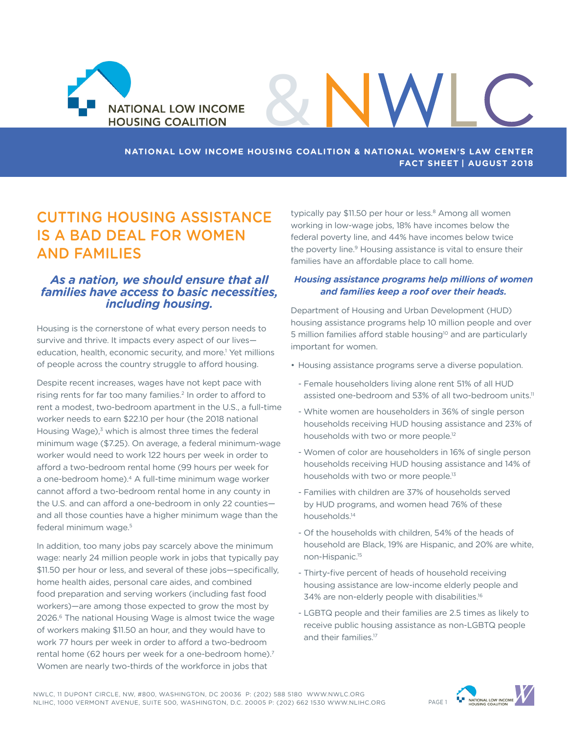

## **NATIONAL LOW INCOME HOUSING COALITION & NATIONAL WOMEN'S LAW CENTER FACT SHEET | AUGUST 2018**

&

# CUTTING HOUSING ASSISTANCE IS A BAD DEAL FOR WOMEN AND FAMILIES

## *As a nation, we should ensure that all families have access to basic necessities, including housing.*

Housing is the cornerstone of what every person needs to survive and thrive. It impacts every aspect of our lives education, health, economic security, and more.<sup>1</sup> Yet millions of people across the country struggle to afford housing.

Despite recent increases, wages have not kept pace with rising rents for far too many families.<sup>2</sup> In order to afford to rent a modest, two-bedroom apartment in the U.S., a full-time worker needs to earn \$22.10 per hour (the 2018 national Housing Wage), $3$  which is almost three times the federal minimum wage (\$7.25). On average, a federal minimum-wage worker would need to work 122 hours per week in order to afford a two-bedroom rental home (99 hours per week for a one-bedroom home).<sup>4</sup> A full-time minimum wage worker cannot afford a two-bedroom rental home in any county in the U.S. and can afford a one-bedroom in only 22 counties and all those counties have a higher minimum wage than the federal minimum wage.<sup>5</sup>

In addition, too many jobs pay scarcely above the minimum wage: nearly 24 million people work in jobs that typically pay \$11.50 per hour or less, and several of these jobs—specifically, home health aides, personal care aides, and combined food preparation and serving workers (including fast food workers)—are among those expected to grow the most by 2026.6 The national Housing Wage is almost twice the wage of workers making \$11.50 an hour, and they would have to work 77 hours per week in order to afford a two-bedroom rental home (62 hours per week for a one-bedroom home).<sup>7</sup> Women are nearly two-thirds of the workforce in jobs that

typically pay \$11.50 per hour or less.<sup>8</sup> Among all women working in low-wage jobs, 18% have incomes below the federal poverty line, and 44% have incomes below twice the poverty line.<sup>9</sup> Housing assistance is vital to ensure their families have an affordable place to call home.

WI

#### *Housing assistance programs help millions of women and families keep a roof over their heads.*

Department of Housing and Urban Development (HUD) housing assistance programs help 10 million people and over 5 million families afford stable housing<sup>10</sup> and are particularly important for women.

- Housing assistance programs serve a diverse population.
	- Female householders living alone rent 51% of all HUD assisted one-bedroom and 53% of all two-bedroom units.<sup>11</sup>
	- White women are householders in 36% of single person households receiving HUD housing assistance and 23% of households with two or more people.<sup>12</sup>
	- Women of color are householders in 16% of single person households receiving HUD housing assistance and 14% of households with two or more people.<sup>13</sup>
	- Families with children are 37% of households served by HUD programs, and women head 76% of these households.14
	- Of the households with children, 54% of the heads of household are Black, 19% are Hispanic, and 20% are white, non-Hispanic.15
	- Thirty-five percent of heads of household receiving housing assistance are low-income elderly people and 34% are non-elderly people with disabilities.16
- LGBTQ people and their families are 2.5 times as likely to receive public housing assistance as non-LGBTQ people and their families.<sup>17</sup>

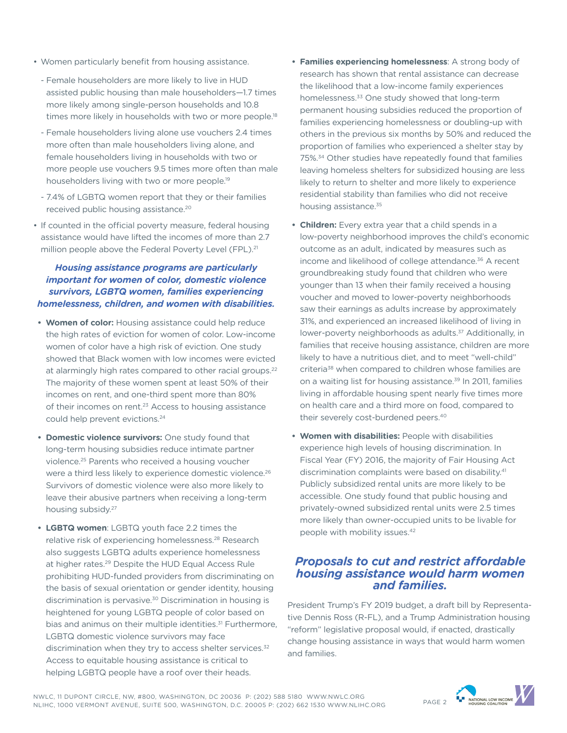- Women particularly benefit from housing assistance.
	- Female householders are more likely to live in HUD assisted public housing than male householders—1.7 times more likely among single-person households and 10.8 times more likely in households with two or more people.<sup>18</sup>
	- Female householders living alone use vouchers 2.4 times more often than male householders living alone, and female householders living in households with two or more people use vouchers 9.5 times more often than male householders living with two or more people.19
- 7.4% of LGBTQ women report that they or their families received public housing assistance.20
- If counted in the official poverty measure, federal housing assistance would have lifted the incomes of more than 2.7 million people above the Federal Poverty Level (FPL).<sup>21</sup>

#### *Housing assistance programs are particularly important for women of color, domestic violence survivors, LGBTQ women, families experiencing homelessness, children, and women with disabilities.*

- **• Women of color:** Housing assistance could help reduce the high rates of eviction for women of color. Low-income women of color have a high risk of eviction. One study showed that Black women with low incomes were evicted at alarmingly high rates compared to other racial groups.<sup>22</sup> The majority of these women spent at least 50% of their incomes on rent, and one-third spent more than 80% of their incomes on rent.<sup>23</sup> Access to housing assistance could help prevent evictions.<sup>24</sup>
- **• Domestic violence survivors:** One study found that long-term housing subsidies reduce intimate partner violence.25 Parents who received a housing voucher were a third less likely to experience domestic violence.<sup>26</sup> Survivors of domestic violence were also more likely to leave their abusive partners when receiving a long-term housing subsidy.27
- **• LGBTQ women**: LGBTQ youth face 2.2 times the relative risk of experiencing homelessness.28 Research also suggests LGBTQ adults experience homelessness at higher rates.29 Despite the HUD Equal Access Rule prohibiting HUD-funded providers from discriminating on the basis of sexual orientation or gender identity, housing discrimination is pervasive.30 Discrimination in housing is heightened for young LGBTQ people of color based on bias and animus on their multiple identities.<sup>31</sup> Furthermore, LGBTQ domestic violence survivors may face discrimination when they try to access shelter services.<sup>32</sup> Access to equitable housing assistance is critical to helping LGBTQ people have a roof over their heads.
- **• Families experiencing homelessness**: A strong body of research has shown that rental assistance can decrease the likelihood that a low-income family experiences homelessness.<sup>33</sup> One study showed that long-term permanent housing subsidies reduced the proportion of families experiencing homelessness or doubling-up with others in the previous six months by 50% and reduced the proportion of families who experienced a shelter stay by 75%.34 Other studies have repeatedly found that families leaving homeless shelters for subsidized housing are less likely to return to shelter and more likely to experience residential stability than families who did not receive housing assistance.<sup>35</sup>
- **• Children:** Every extra year that a child spends in a low-poverty neighborhood improves the child's economic outcome as an adult, indicated by measures such as income and likelihood of college attendance.<sup>36</sup> A recent groundbreaking study found that children who were younger than 13 when their family received a housing voucher and moved to lower-poverty neighborhoods saw their earnings as adults increase by approximately 31%, and experienced an increased likelihood of living in lower-poverty neighborhoods as adults.<sup>37</sup> Additionally, in families that receive housing assistance, children are more likely to have a nutritious diet, and to meet "well-child" criteria<sup>38</sup> when compared to children whose families are on a waiting list for housing assistance.<sup>39</sup> In 2011, families living in affordable housing spent nearly five times more on health care and a third more on food, compared to their severely cost-burdened peers.<sup>40</sup>
- **• Women with disabilities:** People with disabilities experience high levels of housing discrimination. In Fiscal Year (FY) 2016, the majority of Fair Housing Act discrimination complaints were based on disability.<sup>41</sup> Publicly subsidized rental units are more likely to be accessible. One study found that public housing and privately-owned subsidized rental units were 2.5 times more likely than owner-occupied units to be livable for people with mobility issues.<sup>42</sup>

## *Proposals to cut and restrict affordable housing assistance would harm women and families.*

President Trump's FY 2019 budget, a draft bill by Representative Dennis Ross (R-FL), and a Trump Administration housing "reform" legislative proposal would, if enacted, drastically change housing assistance in ways that would harm women and families.

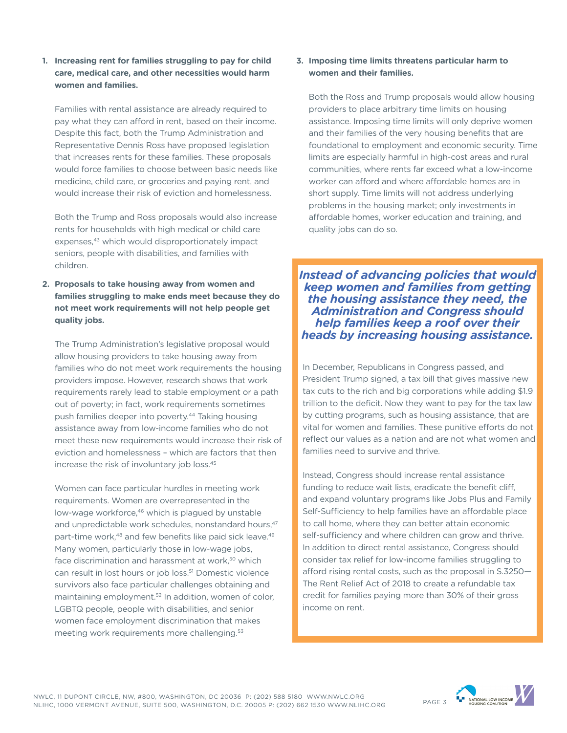**1. Increasing rent for families struggling to pay for child care, medical care, and other necessities would harm women and families.**

Families with rental assistance are already required to pay what they can afford in rent, based on their income. Despite this fact, both the Trump Administration and Representative Dennis Ross have proposed legislation that increases rents for these families. These proposals would force families to choose between basic needs like medicine, child care, or groceries and paying rent, and would increase their risk of eviction and homelessness.

Both the Trump and Ross proposals would also increase rents for households with high medical or child care expenses.<sup>43</sup> which would disproportionately impact seniors, people with disabilities, and families with children.

**2. Proposals to take housing away from women and families struggling to make ends meet because they do not meet work requirements will not help people get quality jobs.**

The Trump Administration's legislative proposal would allow housing providers to take housing away from families who do not meet work requirements the housing providers impose. However, research shows that work requirements rarely lead to stable employment or a path out of poverty; in fact, work requirements sometimes push families deeper into poverty.<sup>44</sup> Taking housing assistance away from low-income families who do not meet these new requirements would increase their risk of eviction and homelessness – which are factors that then increase the risk of involuntary job loss.45

Women can face particular hurdles in meeting work requirements. Women are overrepresented in the low-wage workforce,<sup>46</sup> which is plagued by unstable and unpredictable work schedules, nonstandard hours, <sup>47</sup> part-time work,<sup>48</sup> and few benefits like paid sick leave.<sup>49</sup> Many women, particularly those in low-wage jobs, face discrimination and harassment at work,<sup>50</sup> which can result in lost hours or job loss.<sup>51</sup> Domestic violence survivors also face particular challenges obtaining and maintaining employment.<sup>52</sup> In addition, women of color, LGBTQ people, people with disabilities, and senior women face employment discrimination that makes meeting work requirements more challenging.<sup>53</sup>

#### **3. Imposing time limits threatens particular harm to women and their families.**

Both the Ross and Trump proposals would allow housing providers to place arbitrary time limits on housing assistance. Imposing time limits will only deprive women and their families of the very housing benefits that are foundational to employment and economic security. Time limits are especially harmful in high-cost areas and rural communities, where rents far exceed what a low-income worker can afford and where affordable homes are in short supply. Time limits will not address underlying problems in the housing market; only investments in affordable homes, worker education and training, and quality jobs can do so.

*Instead of advancing policies that would keep women and families from getting the housing assistance they need, the Administration and Congress should help families keep a roof over their heads by increasing housing assistance.*

In December, Republicans in Congress passed, and President Trump signed, a tax bill that gives massive new tax cuts to the rich and big corporations while adding \$1.9 trillion to the deficit. Now they want to pay for the tax law by cutting programs, such as housing assistance, that are vital for women and families. These punitive efforts do not reflect our values as a nation and are not what women and families need to survive and thrive.

Instead, Congress should increase rental assistance funding to reduce wait lists, eradicate the benefit cliff, and expand voluntary programs like Jobs Plus and Family Self-Sufficiency to help families have an affordable place to call home, where they can better attain economic self-sufficiency and where children can grow and thrive. In addition to direct rental assistance, Congress should consider tax relief for low-income families struggling to afford rising rental costs, such as the proposal in S.3250— The Rent Relief Act of 2018 to create a refundable tax credit for families paying more than 30% of their gross income on rent.



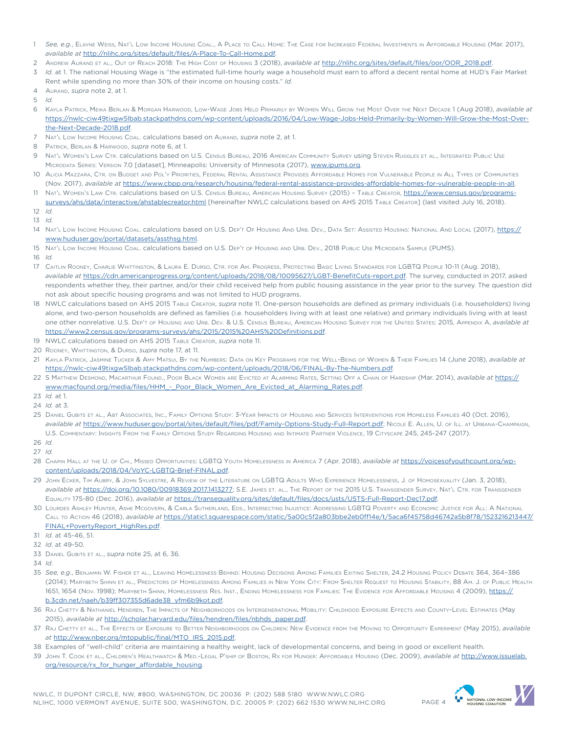- 1 *See, e.g.*, Elayne Weiss, Nat'l Low Income Housing Coal., A Place to Call Home: The Case for Increased Federal Investments in Affordable Housing (Mar. 2017), *available at* <http://nlihc.org/sites/default/files/A-Place-To-Call-Home.pdf>.
- 2 Andrew Aurand et al., Out of Reach 2018: The High Cost of Housing 3 (2018), *available at* [http://nlihc.org/sites/default/files/oor/OOR\\_2018.pdf](http://nlihc.org/sites/default/files/oor/OOR_2018.pdf).
- 3 *Id.* at 1. The national Housing Wage is "the estimated full-time hourly wage a household must earn to afford a decent rental home at HUD's Fair Market Rent while spending no more than 30% of their income on housing costs." *Id.*
- 4 Aurand, *supra* note 2, at 1.
- 5 *Id.*
- 6 Kayla Patrick, Meika Berlan & Morgan Harwood, Low-Wage Jobs Held Primarily by Women Will Grow the Most Over the Next Decade 1 (Aug 2018), *available at*  [https://nwlc-ciw49tixgw5lbab.stackpathdns.com/wp-content/uploads/2016/04/Low-Wage-Jobs-Held-Primarily-by-Women-Will-Grow-the-Most-Over](https://nwlc-ciw49tixgw5lbab.stackpathdns.com/wp-content/uploads/2016/04/Low-Wage-Jobs-Held-Primarily-by-Women-Will-Grow-the-Most-Over-the-Next-Decade-2018.pdf)[the-Next-Decade-2018.pdf.](https://nwlc-ciw49tixgw5lbab.stackpathdns.com/wp-content/uploads/2016/04/Low-Wage-Jobs-Held-Primarily-by-Women-Will-Grow-the-Most-Over-the-Next-Decade-2018.pdf)
- Nat'L Low Income Housing Coal. calculations based on Aurand, *supra* note 2, at 1.
- 8 Patrick, Berlan & Harwood, *supra* note 6, at 1.
- 9 NAT'L WOMEN'S LAW CTR. calculations based on U.S. CENSUS BUREAU, 2016 AMERICAN COMMUNITY SURVEY USING STEVEN RUGGLES ET AL., INTEGRATED PUBLIC USE Microdata Series: Version 7.0 [dataset], Minneapolis: University of Minnesota (2017), [www.ipums.org](http://www.ipums.org).
- 10 Alicia Mazzara, Ctr. on Budget and Pol'y Priorities, Federal Rental Assistance Provides Affordable Homes for Vulnerable People in All Types of Communities (Nov. 2017), *available at* [https://www.cbpp.org/research/housing/federal-rental-assistance-provides-affordable-homes-for-vulnerable-people-in-all.](https://www.cbpp.org/research/housing/federal-rental-assistance-provides-affordable-homes-for-vulnerable-people-in-all)
- 11 NAT'L WOMEN'S LAW CTR. calculations based on U.S. CENSUS BUREAU, AMERICAN HOUSING SURVEY (2015) TABLE CREATOR, [https://www.census.gov/programs](https://www.census.gov/programs-surveys/ahs/data/interactive/ahstablecreator.html)[surveys/ahs/data/interactive/ahstablecreator.html](https://www.census.gov/programs-surveys/ahs/data/interactive/ahstablecreator.html) [hereinafter NWLC calculations based on AHS 2015 Table Creator] (last visited July 16, 2018).
- 12 *Id.*
- 13 *Id.*
- 14 NAT'L LOW INCOME HOUSING COAL. calculations based on U.S. DEP'T OF HOUSING AND URB. DEV., DATA SET: ASSISTED HOUSING: NATIONAL AND LOCAL (2017), [https://](https://www.huduser.gov/portal/datasets/assthsg.html) [www.huduser.gov/portal/datasets/assthsg.html.](https://www.huduser.gov/portal/datasets/assthsg.html)
- 15 Nat'l Low Income Housing Coal. calculations based on U.S. Dep't of Housing and Urb. Dev., 2018 Public Use Microdata Sample (PUMS).
- 16 *Id.*
- 17 Caitlin Rooney, Charlie Whittington, & Laura E. Durso, Ctr. for Am. Progress, Protecting Basic Living Standards for LGBTQ People 10-11 (Aug. 2018), *available at* <https://cdn.americanprogress.org/content/uploads/2018/08/10095627/LGBT-BenefitCuts-report.pdf>. The survey, conducted in 2017, asked respondents whether they, their partner, and/or their child received help from public housing assistance in the year prior to the survey. The question did not ask about specific housing programs and was not limited to HUD programs.
- 18 NWLC calculations based on AHS 2015 TABLE CREATOR, *supra* note 11. One-person households are defined as primary individuals (i.e. householders) living alone, and two-person households are defined as families (i.e. householders living with at least one relative) and primary individuals living with at least one other nonrelative. U.S. Dep't of Housing and Urb. Dev. & U.S. Census Bureau, American Housing Survey for the United States: 2015, Appendix A, *available at* [https://www2.census.gov/programs-surveys/ahs/2015/2015%20AHS%20Definitions.pdf.](https://www2.census.gov/programs-surveys/ahs/2015/2015%20AHS%20Definitions.pdf)
- 19 NWLC calculations based on AHS 2015 Table Creator, *supra* note 11.
- 20 Rooney, Whittington, & Durso, *supra* note 17, at 11.
- 21 Kayla Patrick, Jasmine Tucker & Amy Matsui, By the Numbers: Data on Key Programs for the Well-Being of Women & Their Families 14 (June 2018), *available at* <https://nwlc-ciw49tixgw5lbab.stackpathdns.com/wp-content/uploads/2018/06/FINAL-By-The-Numbers.pdf>.
- 22 S Matthew Desmond, Macarthur Found., Poor Black Women are Evicted at Alarming Rates, Setting Off <sup>a</sup> Chain of Hardship (Mar. 2014), *available at* [https://](https://www.macfound.org/media/files/HHM_-_Poor_Black_Women_Are_Evicted_at_Alarming_Rates.pdf) [www.macfound.org/media/files/HHM\\_-\\_Poor\\_Black\\_Women\\_Are\\_Evicted\\_at\\_Alarming\\_Rates.pdf](https://www.macfound.org/media/files/HHM_-_Poor_Black_Women_Are_Evicted_at_Alarming_Rates.pdf).
- 23 *Id.* at 1.
- 24 *Id.* at 3.
- 25 Daniel Gubits et al., Abt Associates, Inc., Family Options Study: 3-Year Impacts of Housing and Services Interventions for Homeless Families 40 (Oct. 2016), *available at* [https://www.huduser.gov/portal/sites/default/files/pdf/Family-Options-Study-Full-Report.pdf;](https://www.huduser.gov/portal/sites/default/files/pdf/Family-Options-Study-Full-Report.pdf) Nicole E. Allen, U. of Ill. at Urbana-Champaign, U.S. Commentary: Insights From the Family Options Study Regarding Housing and Intimate Partner Violence, 19 Cityscape 245, 245-247 (2017).
- 26 *Id.*
- 27 *Id.*
- 28 Chapin Hall at the U. of Chi., Missed Opportunities: LGBTQ Youth Homelessness in America 7 (Apr. 2018), *available at* [https://voicesofyouthcount.org/wp](https://voicesofyouthcount.org/wp-content/uploads/2018/04/VoYC-LGBTQ-Brief-FINAL.pdf)[content/uploads/2018/04/VoYC-LGBTQ-Brief-FINAL.pdf](https://voicesofyouthcount.org/wp-content/uploads/2018/04/VoYC-LGBTQ-Brief-FINAL.pdf).
- 29 John Ecker, Tim Aubry, & John Sylvestre, A Review of the Literature on LGBTQ Adults Who Experience Homelessness, J. of Homosexuality (Jan. 3, 2018), *available at* <https://doi.org/10.1080/00918369.2017.1413277>; S.E. James et. al., The Report of the 2015 U.S. Transgender Survey, Nat'l Ctr. for Transgender Equality 175-80 (Dec. 2016), *available at* <https://transequality.org/sites/default/files/docs/usts/USTS-Full-Report-Dec17.pdf>.
- 30 Lourdes Ashley Hunter, Ashe Mcgovern, & Carla Sutherland, Eds., Intersecting Injustice: Addressing LGBTQ Poverty and Economic Justice for All: A National Call to Action 46 (2018), *available at* [https://static1.squarespace.com/static/5a00c5f2a803bbe2eb0ff14e/t/5aca6f45758d46742a5b8f78/1523216213447/](https://static1.squarespace.com/static/5a00c5f2a803bbe2eb0ff14e/t/5aca6f45758d46742a5b8f78/1523216213447/FINAL+PovertyReport_HighRes.pdf) [FINAL+PovertyReport\\_HighRes.pdf](https://static1.squarespace.com/static/5a00c5f2a803bbe2eb0ff14e/t/5aca6f45758d46742a5b8f78/1523216213447/FINAL+PovertyReport_HighRes.pdf).
- 31 *Id*. at 45-46, 51.
- 32 *Id*. at 49-50.
- 33 Daniel Gubits et al., *supra* note 25, at 6, 36.
- 34 *Id*.
- 35 *See, e.g*., Benjamin W. Fisher et al., Leaving Homelessness Behind: Housing Decisions Among Families Exiting Shelter, 24.2 Housing Policy Debate 364, 364–386 (2014); Marybeth Shinn et al., Predictors of Homelessness Among Families in New York City: From Shelter Request to Housing Stability, 88 Am. J. of Public Health 1651, 1654 (Nov. 1998); Marybeth Shinn, Homelessness Res. Inst., Ending Homelessness for Families: The Evidence for Affordable Housing 4 (2009), <u>https://</u> [b.3cdn.net/naeh/b39ff307355d6ade38\\_yfm6b9kot.pdf.](https://b.3cdn.net/naeh/b39ff307355d6ade38_yfm6b9kot.pdf)
- 36 Raj Chetty & Nathaniel Hendren, The Impacts of Neighborhoods on Intergenerational Mobility: Childhood Exposure Effects and County-Level Estimates (May 2015), *available at* [http://scholar.harvard.edu/files/hendren/files/nbhds\\_paper.pdf](http://scholar.harvard.edu/files/hendren/files/nbhds_paper.pdf).
- 37 Raj Chetty et al., The Effects of Exposure to Better Neighborhoods on Children: New Evidence from the Moving to Opportunity Experiment (May 2015), *available at* [http://www.nber.org/mtopublic/final/MTO\\_IRS\\_2015.pdf](http://www.nber.org/mtopublic/final/MTO_IRS_2015.pdf)*.*
- 38 Examples of "well-child" criteria are maintaining a healthy weight, lack of developmental concerns, and being in good or excellent health.
- 39 John T. Cook et al., Children's Healthwatch & Med.-Legal P'ship of Boston, Rx for Hunger: Affordable Housing (Dec. 2009), *available at* [http://www.issuelab.](http://www.issuelab.org/resource/rx_for_hunger_affordable_housing) [org/resource/rx\\_for\\_hunger\\_affordable\\_housing](http://www.issuelab.org/resource/rx_for_hunger_affordable_housing).